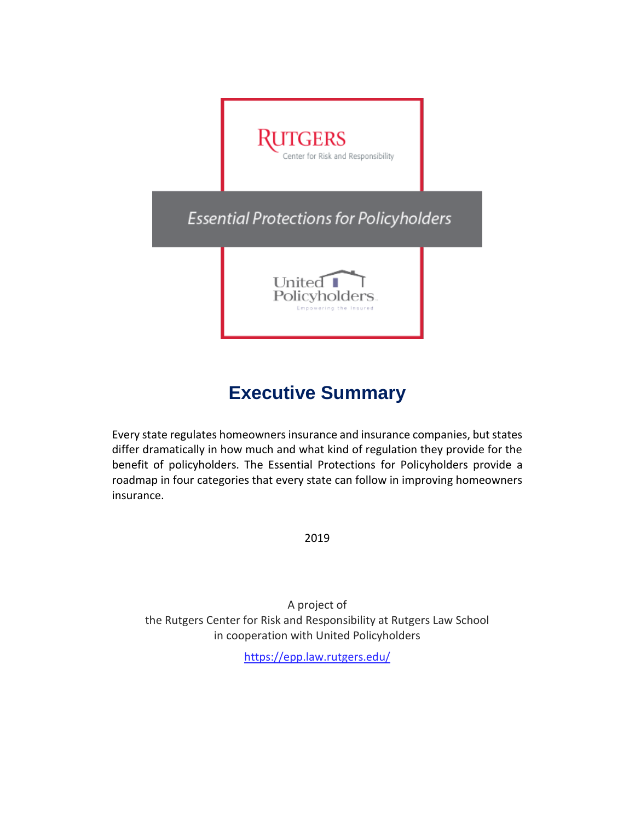

# **Executive Summary**

Every state regulates homeowners insurance and insurance companies, but states differ dramatically in how much and what kind of regulation they provide for the benefit of policyholders. The Essential Protections for Policyholders provide a roadmap in four categories that every state can follow in improving homeowners insurance.

2019

A project of the Rutgers Center for Risk and Responsibility at Rutgers Law School in cooperation with United Policyholders

<https://epp.law.rutgers.edu/>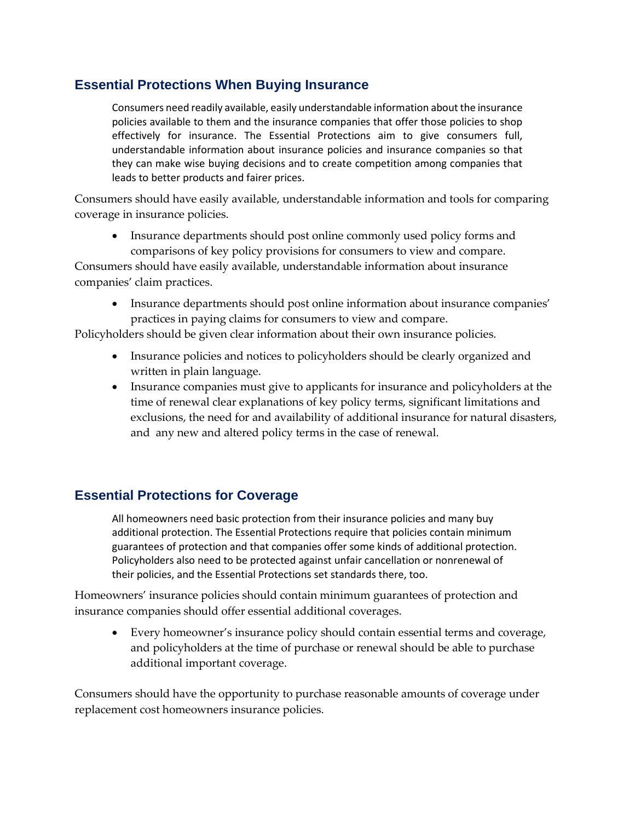## **Essential Protections When Buying Insurance**

Consumers need readily available, easily understandable information about the insurance policies available to them and the insurance companies that offer those policies to shop effectively for insurance. The Essential Protections aim to give consumers full, understandable information about insurance policies and insurance companies so that they can make wise buying decisions and to create competition among companies that leads to better products and fairer prices.

Consumers should have easily available, understandable information and tools for comparing coverage in insurance policies.

• Insurance departments should post online commonly used policy forms and comparisons of key policy provisions for consumers to view and compare.

Consumers should have easily available, understandable information about insurance companies' claim practices.

• Insurance departments should post online information about insurance companies' practices in paying claims for consumers to view and compare.

Policyholders should be given clear information about their own insurance policies.

- Insurance policies and notices to policyholders should be clearly organized and written in plain language.
- Insurance companies must give to applicants for insurance and policyholders at the time of renewal clear explanations of key policy terms, significant limitations and exclusions, the need for and availability of additional insurance for natural disasters, and any new and altered policy terms in the case of renewal.

### **Essential Protections for Coverage**

All homeowners need basic protection from their insurance policies and many buy additional protection. The Essential Protections require that policies contain minimum guarantees of protection and that companies offer some kinds of additional protection. Policyholders also need to be protected against unfair cancellation or nonrenewal of their policies, and the Essential Protections set standards there, too.

Homeowners' insurance policies should contain minimum guarantees of protection and insurance companies should offer essential additional coverages.

• Every homeowner's insurance policy should contain essential terms and coverage, and policyholders at the time of purchase or renewal should be able to purchase additional important coverage.

Consumers should have the opportunity to purchase reasonable amounts of coverage under replacement cost homeowners insurance policies.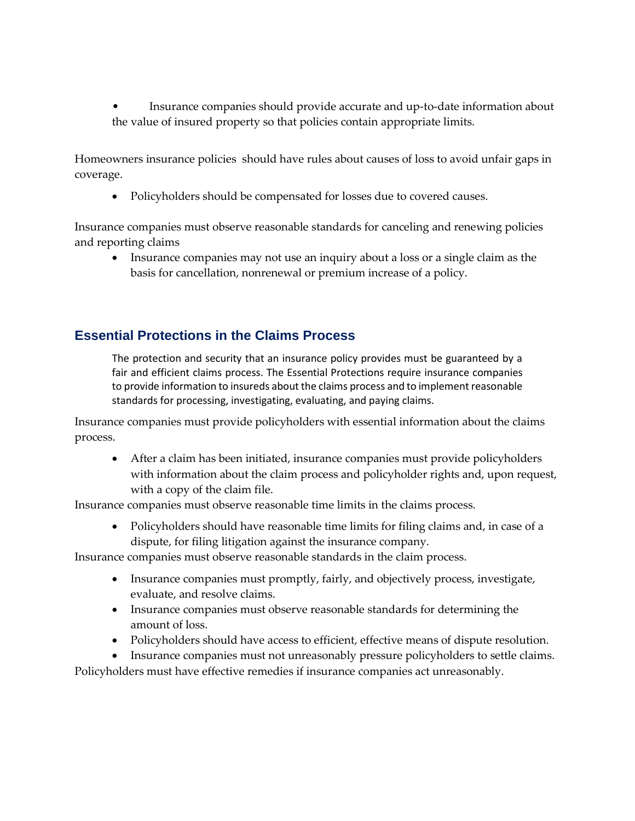• Insurance companies should provide accurate and up-to-date information about the value of insured property so that policies contain appropriate limits.

Homeowners insurance policies should have rules about causes of loss to avoid unfair gaps in coverage.

• Policyholders should be compensated for losses due to covered causes.

Insurance companies must observe reasonable standards for canceling and renewing policies and reporting claims

• Insurance companies may not use an inquiry about a loss or a single claim as the basis for cancellation, nonrenewal or premium increase of a policy.

### **Essential Protections in the Claims Process**

The protection and security that an insurance policy provides must be guaranteed by a fair and efficient claims process. The Essential Protections require insurance companies to provide information to insureds about the claims process and to implement reasonable standards for processing, investigating, evaluating, and paying claims.

Insurance companies must provide policyholders with essential information about the claims process.

• After a claim has been initiated, insurance companies must provide policyholders with information about the claim process and policyholder rights and, upon request, with a copy of the claim file.

Insurance companies must observe reasonable time limits in the claims process.

• Policyholders should have reasonable time limits for filing claims and, in case of a dispute, for filing litigation against the insurance company.

Insurance companies must observe reasonable standards in the claim process.

- Insurance companies must promptly, fairly, and objectively process, investigate, evaluate, and resolve claims.
- Insurance companies must observe reasonable standards for determining the amount of loss.
- Policyholders should have access to efficient, effective means of dispute resolution.
- Insurance companies must not unreasonably pressure policyholders to settle claims.

Policyholders must have effective remedies if insurance companies act unreasonably.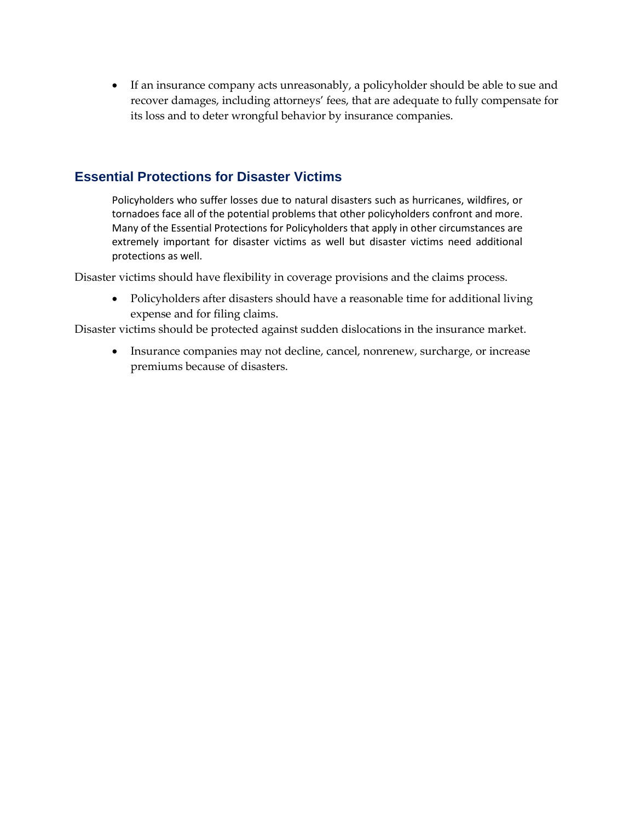• If an insurance company acts unreasonably, a policyholder should be able to sue and recover damages, including attorneys' fees, that are adequate to fully compensate for its loss and to deter wrongful behavior by insurance companies.

#### **Essential Protections for Disaster Victims**

Policyholders who suffer losses due to natural disasters such as hurricanes, wildfires, or tornadoes face all of the potential problems that other policyholders confront and more. Many of the Essential Protections for Policyholders that apply in other circumstances are extremely important for disaster victims as well but disaster victims need additional protections as well.

Disaster victims should have flexibility in coverage provisions and the claims process.

• Policyholders after disasters should have a reasonable time for additional living expense and for filing claims.

Disaster victims should be protected against sudden dislocations in the insurance market.

• Insurance companies may not decline, cancel, nonrenew, surcharge, or increase premiums because of disasters.